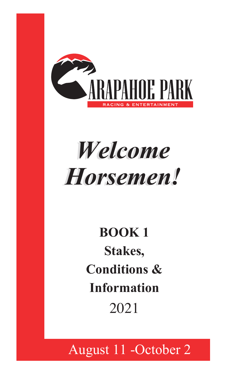

# Welcome *Horsemen! Horsemen!*

# **BOOK 1 Stakes, Conditions & Information** 2021

### II<br>III August 11 -October 2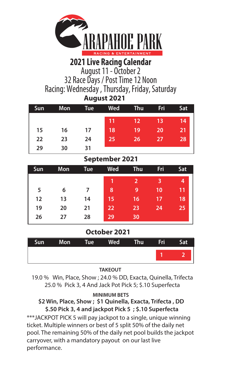

## **2021 Live Racing Calendar**

August 11 - October 2

32 Race Days / Post Time 12 Noon Racing: Wednesday , Thursday, Friday, Saturday  **August 2021**

| <b>Sun</b> | Mon. | Tue | Wed             | <b>Thu</b>        | Fri | Sat      |
|------------|------|-----|-----------------|-------------------|-----|----------|
|            |      |     | 417             | $12 \overline{ }$ | 13  | 14       |
| 15         | 16   | 17  | 18              | 19                | 20  | 21       |
| 22         | 23   | 24  | 25 <sub>1</sub> | 261               | 27  | $28_{1}$ |
| 29         | 30   | 31  |                 |                   |     |          |

### **September 2021**

| Sun | Mon | Tue | Wed | Thu | Fri | Sat |
|-----|-----|-----|-----|-----|-----|-----|
|     |     |     | 1   |     | 3   | 4   |
| 5   | 6   |     | 8   | 9   | 10  | 11  |
| 12  | 13  | 14  | 15  | 16  | 17  | 18  |
| 19  | 20  | 21  | 22  | 23  | 24  | 25  |
| 26  | 27  | 28  | 29  | 30  |     |     |

### **October 2021**

|  | Sun Mon Tue Wed Thu Fri |  | Sat |
|--|-------------------------|--|-----|
|  |                         |  |     |
|  |                         |  |     |

### **TAKEOUT**

19.0 % Win, Place, Show ; 24.0 % DD, Exacta, Quinella, Trifecta 25.0 % Pick 3, 4 And Jack Pot Pick 5; \$.10 Superfecta

### **MINIMUM BETS**

### **\$2 Win, Place, Show ; \$1 Quinella, Exacta, Trifecta , DD \$.50 Pick 3, 4 and jackpot Pick 5 ; \$.10 Superfecta**

\*\*\*JACKPOT PICK 5 will pay jackpot to a single, unique winning ticket. Multiple winners or best of 5 split 50% of the daily net pool. The remaining 50% of the daily net pool builds the jackpot carryover, with a mandatory payout on our last live performance.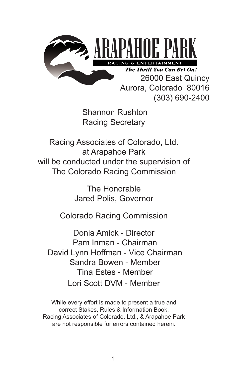

Aurora, Colorado 80016 (303) 690-2400

Shannon Rushton Racing Secretary

Racing Associates of Colorado, Ltd. at Arapahoe Park will be conducted under the supervision of The Colorado Racing Commission

> The Honorable Jared Polis, Governor

Colorado Racing Commission

Donia Amick - Director Pam Inman - Chairman David Lynn Hoffman - Vice Chairman Sandra Bowen - Member Tina Estes - Member Lori Scott DVM - Member

While every effort is made to present a true and correct Stakes, Rules & Information Book, Racing Associates of Colorado, Ltd., & Arapahoe Park are not responsible for errors contained herein.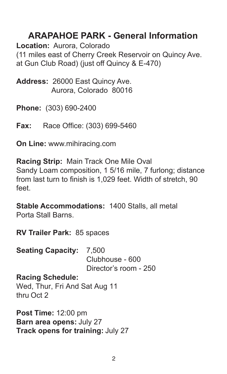## **ARAPAHOE PARK - General Information**

**Location:** Aurora, Colorado (11 miles east of Cherry Creek Reservoir on Quincy Ave. at Gun Club Road) (just off Quincy & E-470)

**Address:** 26000 East Quincy Ave. Aurora, Colorado 80016

**Phone:** (303) 690-2400

**Fax:** Race Office: (303) 699-5460

**On Line:** www.mihiracing.com

**Racing Strip:** Main Track One Mile Oval Sandy Loam composition, 1 5/16 mile, 7 furlong; distance from last turn to finish is 1,029 feet. Width of stretch, 90 feet.

**Stable Accommodations:** 1400 Stalls, all metal Porta Stall Barns.

**RV Trailer Park: 85 spaces** 

**Seating Capacity: 7,500** Clubhouse - 600

Director's room - 250

**Racing Schedule:**

Wed, Thur, Fri And Sat Aug 11 thru Oct 2

**Post Time:** 12:00 pm **Barn area opens:** July 27 **Track opens for training:** July 27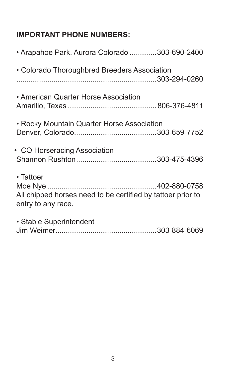## **IMPORTANT PHONE NUMBERS:**

| • Arapahoe Park, Aurora Colorado 303-690-2400                                                  |  |
|------------------------------------------------------------------------------------------------|--|
| • Colorado Thoroughbred Breeders Association                                                   |  |
| • American Quarter Horse Association                                                           |  |
| • Rocky Mountain Quarter Horse Association                                                     |  |
| • CO Horseracing Association                                                                   |  |
| • Tattoer<br>All chipped horses need to be certified by tattoer prior to<br>entry to any race. |  |
| • Stable Superintendent                                                                        |  |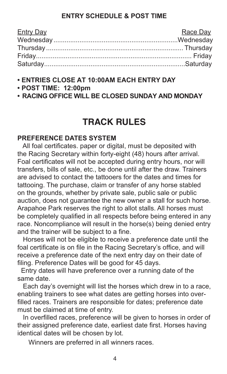### **ENTRY SCHEDULE & POST TIME**

| <b>Entry Day</b> | Race Day |
|------------------|----------|
|                  |          |
|                  |          |
|                  |          |
|                  |          |

- **ENTRIES CLOSE AT 10:00AM EACH ENTRY DAY**
- **POST TIME: 12:00pm**
- **• RACING OFFICE WILL BE CLOSED SUNDAY AND MONDAY**

## **TRACK RULES**

### **PREFERENCE DATES SYSTEM**

All foal certificates. paper or digital, must be deposited with the Racing Secretary within forty-eight (48) hours after arrival. Foal certificates will not be accepted during entry hours, nor will transfers, bills of sale, etc., be done until after the draw. Trainers are advised to contact the tattooers for the dates and times for tattooing. The purchase, claim or transfer of any horse stabled on the grounds, whether by private sale, public sale or public auction, does not guarantee the new owner a stall for such horse. Arapahoe Park reserves the right to allot stalls. All horses must be completely qualified in all respects before being entered in any race. Noncompliance will result in the horse(s) being denied entry and the trainer will be subject to a fine.

 Horses will not be eligible to receive a preference date until the foal certificate is on file in the Racing Secretary's office, and will receive a preference date of the next entry day on their date of filing. Preference Dates will be good for 45 days.

 Entry dates will have preference over a running date of the same date.

 Each day's overnight will list the horses which drew in to a race, enabling trainers to see what dates are getting horses into overfilled races. Trainers are responsible for dates; preference date must be claimed at time of entry.

In overfilled races, preference will be given to horses in order of their assigned preference date, earliest date first. Horses having identical dates will be chosen by lot.

Winners are preferred in all winners races.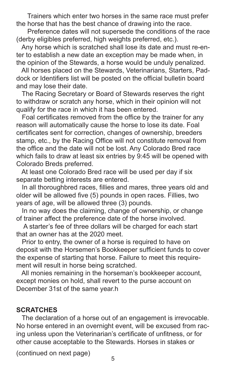Trainers which enter two horses in the same race must prefer the horse that has the best chance of drawing into the race.

 Preference dates will not supersede the conditions of the race (derby eligibles preferred, high weights preferred, etc.).

 Any horse which is scratched shall lose its date and must re-enter to establish a new date an exception may be made when, in the opinion of the Stewards, a horse would be unduly penalized.

 All horses placed on the Stewards, Veterinarians, Starters, Paddock or Identifiers list will be posted on the official bulletin board and may lose their date.

 The Racing Secretary or Board of Stewards reserves the right to withdraw or scratch any horse, which in their opinion will not qualify for the race in which it has been entered.

Foal certificates removed from the office by the trainer for any reason will automatically cause the horse to lose its date. Foal certificates sent for correction, changes of ownership, breeders stamp, etc., by the Racing Office will not constitute removal from the office and the date will not be lost. Any Colorado Bred race which fails to draw at least six entries by 9:45 will be opened with Colorado Breds preferred.

 At least one Colorado Bred race will be used per day if six separate betting interests are entered.

In all thoroughbred races, fillies and mares, three years old and older will be allowed five (5) pounds in open races. Fillies, two years of age, will be allowed three (3) pounds.

 In no way does the claiming, change of ownership, or change of trainer affect the preference date of the horse involved.

 A starter's fee of three dollars will be charged for each start that an owner has at the 2020 meet.

 Prior to entry, the owner of a horse is required to have on deposit with the Horsemen's Bookkeeper sufficient funds to cover the expense of starting that horse. Failure to meet this requirement will result in horse being scratched.

 All monies remaining in the horseman's bookkeeper account, except monies on hold, shall revert to the purse account on December 31st of the same year.h

### **SCRATCHES**

 The declaration of a horse out of an engagement is irrevocable. No horse entered in an overnight event, will be excused from racing unless upon the Veterinarian's certificate of unfitness, or for other cause acceptable to the Stewards. Horses in stakes or

(continued on next page)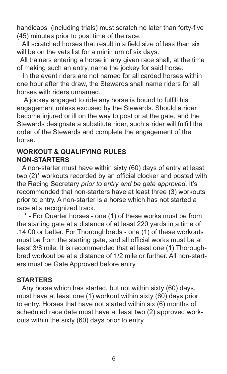handicaps (including trials) must scratch no later than forty-five (45) minutes prior to post time of the race.

All scratched horses that result in a field size of less than six will be on the vets list for a minimum of six days.

 All trainers entering a horse in any given race shall, at the time of making such an entry, name the jockey for said horse.

 In the event riders are not named for all carded horses within one hour after the draw, the Stewards shall name riders for all horses with riders unnamed.

A jockey engaged to ride any horse is bound to fulfill his engagement unless excused by the Stewards. Should a rider become injured or ill on the way to post or at the gate, and the Stewards designate a substitute rider, such a rider will fulfill the order of the Stewards and complete the engagement of the horse.

### **WORKOUT & QUALIFYING RULES NON-STARTERS**

 A non-starter must have within sixty (60) days of entry at least two (2)\* workouts recorded by an official clocker and posted with the Racing Secretary *prior to entry and be gate approved*. It's recommended that non-starters have at least three (3) workouts prior to entry. A non-starter is a horse which has not started a race at a recognized track.

\* - For Quarter horses - one (1) of these works must be from the starting gate at a distance of at least 220 yards in a time of :14.00 or better. For Thoroughbreds - one (1) of these workouts must be from the starting gate, and all official works must be at least 3/8 mile. It is recommended that at least one (1) Thoroughbred workout be at a distance of 1/2 mile or further. All non-starters must be Gate Approved before entry.

### **STARTERS**

 Any horse which has started, but not within sixty (60) days, must have at least one (1) workout within sixty (60) days prior to entry. Horses that have not started within six (6) months of scheduled race date must have at least two (2) approved workouts within the sixty (60) days prior to entry.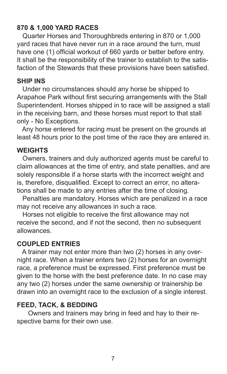### **870 & 1,000 YARD RACES**

 Quarter Horses and Thoroughbreds entering in 870 or 1,000 yard races that have never run in a race around the turn, must have one (1) official workout of 660 yards or better before entry. It shall be the responsibility of the trainer to establish to the satisfaction of the Stewards that these provisions have been satisfied.

### **SHIP INS**

 Under no circumstances should any horse be shipped to Arapahoe Park without first securing arrangements with the Stall Superintendent. Horses shipped in to race will be assigned a stall in the receiving barn, and these horses must report to that stall only - No Exceptions.

 Any horse entered for racing must be present on the grounds at least 48 hours prior to the post time of the race they are entered in.

### **WEIGHTS**

 Owners, trainers and duly authorized agents must be careful to claim allowances at the time of entry, and state penalties, and are solely responsible if a horse starts with the incorrect weight and is, therefore, disqualified. Except to correct an error, no alterations shall be made to any entries after the time of closing.

 Penalties are mandatory. Horses which are penalized in a race may not receive any allowances in such a race.

Horses not eligible to receive the first allowance may not receive the second, and if not the second, then no subsequent allowances.

### **COUPLED ENTRIES**

 A trainer may not enter more than two (2) horses in any overnight race. When a trainer enters two (2) horses for an overnight race, a preference must be expressed. First preference must be given to the horse with the best preference date. In no case may any two (2) horses under the same ownership or trainership be drawn into an overnight race to the exclusion of a single interest.

### **FEED, TACK, & BEDDING**

 Owners and trainers may bring in feed and hay to their respective barns for their own use.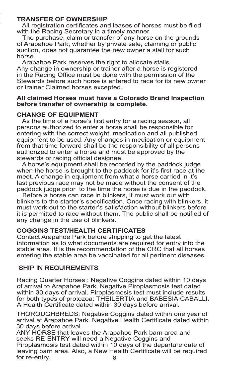#### **TRANSFER OF OWNERSHIP**

All registration certificates and leases of horses must be filed with the Racing Secretary in a timely manner.

 The purchase, claim or transfer of any horse on the grounds of Arapahoe Park, whether by private sale, claiming or public auction, does not guarantee the new owner a stall for such horse.

 Arapahoe Park reserves the right to allocate stalls. Any change in ownership or trainer after a horse is registered in the Racing Office must be done with the permission of the Stewards before such horse is entered to race for its new owner or trainer Claimed horses excepted.

#### **All claimed Horses must have a Colorado Brand Inspection before transfer of ownership is complete.**

#### **CHANGE OF EQUIPMENT**

As the time of a horse's first entry for a racing season, all persons authorized to enter a horse shall be responsible for entering with the correct weight, medication and all published equipment to be used. Any changes in medication or equipment from that time forward shall be the responsibility of all persons authorized to enter a horse and must be approved by the stewards or racing official designee.

 A horse's equipment shall be recorded by the paddock judge when the horse is brought to the paddock for it's first race at the meet. A change in equipment from what a horse carried in it's last previous race may not be made without the consent of the paddock judge prior to the time the horse is due in the paddock.

 Before a horse can race in blinkers, it must work out with blinkers to the starter's specification. Once racing with blinkers, it must work out to the starter's satisfaction without blinkers before it is permitted to race without them. The public shall be notified of any change in the use of blinkers.

#### **COGGINS TEST/HEALTH CERTIFICATES**

Contact Arapahoe Park before shipping to get the latest information as to what documents are required for entry into the stable area. It is the recommendation of the CRC that all horses entering the stable area be vaccinated for all pertinent diseases.

### SHIP IN REQUIREMENTS

Racing Quarter Horses : Negative Coggins dated within 10 days of arrival to Arapahoe Park. Negative Piroplasmosis test dated within 30 days of arrival. Piroplasmosis test must include results for both types of protozoa: THEILERTIA and BABESIA CABALLI. A Health Certificate dated within 30 days before arrival.

THOROUGHBREDS: Negative Coggins dated within one year of arrival at Arapahoe Park. Negative Health Certificate dated within 30 days before arrival.

ANY HORSE that leaves the Arapahoe Park barn area and seeks RE-ENTRY will need a Negative Coggins and Piroplasmosis test dated within 10 days of the departure date of leaving barn area. Also, a New Health Certificate will be required<br>for re-entrv. for re-entry.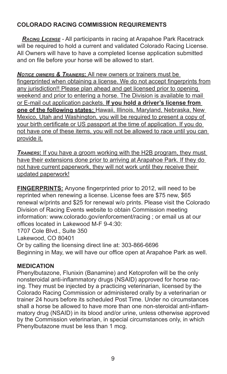### **COLORADO RACING COMMISSION REQUIREMENTS**

 *Racing License* - All participants in racing at Arapahoe Park Racetrack will be required to hold a current and validated Colorado Racing License. All Owners will have to have a completed license application submitted and on file before your horse will be allowed to start.

**NOTICE OWNERS & TRAINERS:** All new owners or trainers must be fingerprinted when obtaining a license. We do not accept fingerprints from any jurisdiction!! Please plan ahead and get licensed prior to opening weekend and prior to entering a horse. The Division is available to mail or E-mail out application packets. **If you hold a driver's license from one of the following states:** Hawaii, Illinois, Maryland, Nebraska, New Mexico, Utah and Washington, you will be required to present a copy of your birth certificate or US passport at the time of application. If you do not have one of these items, you will not be allowed to race until you can provide it.

*TRAINERS*: If you have a groom working with the H2B program, they must have their extensions done prior to arriving at Arapahoe Park. If they do not have current paperwork, they will not work until they receive their updated paperwork!

**FINGERPRINTS:** Anyone fingerprinted prior to 2012, will need to be reprinted when renewing a license. License fees are \$75 new, \$65 renewal w/prints and \$25 for renewal w/o prints. Please visit the Colorado Division of Racing Events website to obtain Commission meeting information: www.colorado.gov/enforcement/racing : or email us at our offices located in Lakewood M-F 9-4:30:

1707 Cole Blvd., Suite 350

Lakewood, CO 80401

Or by calling the licensing direct line at: 303-866-6696

Beginning in May, we will have our office open at Arapahoe Park as well.

### **MEDICATION**

Phenylbutazone, Flunixin (Banamine) and Ketoprofen will be the only nonsteroidal anti-inflammatory drugs (NSAID) approved for horse racing. They must be injected by a practicing veterinarian, licensed by the Colorado Racing Commission or administered orally by a veterinarian or trainer 24 hours before its scheduled Post Time. Under no circumstances shall a horse be allowed to have more than one non-steroidal anti-inflammatory drug (NSAID) in its blood and/or urine, unless otherwise approved by the Commission veterinarian, in special circumstances only, in which Phenylbutazone must be less than 1 mcg.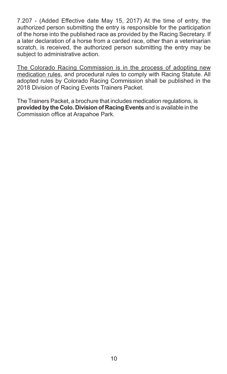7.207 - (Added Effective date May 15, 2017) At the time of entry, the authorized person submitting the entry is responsible for the participation of the horse into the published race as provided by the Racing Secretary. If a later declaration of a horse from a carded race, other than a veterinarian scratch, is received, the authorized person submitting the entry may be subject to administrative action.

The Colorado Racing Commission is in the process of adopting new medication rules, and procedural rules to comply with Racing Statute. All adopted rules by Colorado Racing Commission shall be published in the 2018 Division of Racing Events Trainers Packet.

The Trainers Packet, a brochure that includes medication regulations, is **provided by the Colo. Division of Racing Events** and is available in the Commission office at Arapahoe Park.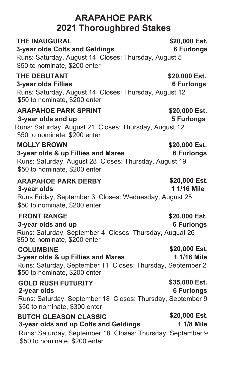### **ARAPAHOE PARK 2021 Thoroughbred Stakes**

**3-year olds Colts and Geldings 6 Furlongs**

| Runs: Saturday, August 14 Closes: Thursday, August 5<br>\$50 to nominate, \$200 enter                                                                                |                                    |
|----------------------------------------------------------------------------------------------------------------------------------------------------------------------|------------------------------------|
| <b>THE DEBUTANT</b><br>3-year olds Fillies<br>Runs: Saturday, August 14 Closes: Thursday, August 12<br>\$50 to nominate, \$200 enter                                 | \$20,000 Est.<br><b>6 Furlongs</b> |
| <b>ARAPAHOE PARK SPRINT</b><br>3-year olds and up<br>Runs: Saturday, August 21 Closes: Thursday, August 12<br>\$50 to nominate, \$200 enter                          | \$20,000 Est.<br><b>5 Furlongs</b> |
| <b>MOLLY BROWN</b><br>3-year olds & up Fillies and Mares<br>Runs: Saturday, August 28 Closes: Thursday, August 19<br>\$50 to nominate, \$200 enter                   | \$20,000 Est.<br><b>6 Furlongs</b> |
| <b>ARAPAHOE PARK DERBY</b><br>3-year olds<br>Runs Friday, September 3 Closes: Wednesday, August 25<br>\$50 to nominate, \$200 enter                                  | \$20,000 Est.<br>1 1/16 Mile       |
| <b>FRONT RANGE</b><br>3-year olds and up<br>Runs: Saturday, September 4 Closes: Thursday, Auguat 26<br>\$50 to nominate, \$200 enter                                 | \$20,000 Est.<br><b>6 Furlongs</b> |
| <b>COLUMBINE</b><br>3-year olds & up Fillies and Mares<br>Runs: Saturday, September 11 Closes: Thursday, September 2<br>\$50 to nominate, \$200 enter                | \$20,000 Est.<br>1 1/16 Mile       |
| <b>GOLD RUSH FUTURITY</b><br>2-year olds<br>Runs: Saturday, September 18 Closes: Thursday, September 9<br>\$50 to nominate, \$300 enter                              | \$35,000 Est.<br><b>6 Furlongs</b> |
| <b>BUTCH GLEASON CLASSIC</b><br>3-year olds and up Colts and Geldings<br>Runs: Saturday, September 18 Closes: Thursday, September 9<br>\$50 to nominate, \$200 enter | \$20,000 Est.<br>1 1/8 Mile        |

# **THE INAUGURAL 6-1 SET ALL SET ALL SET ALL SET ALL SEAL SEAL SEAL SEAL SET ALL SEAL SEAL SE**<br> **3-vear olds Colts and Geldings** 6-1 Seal of Furlongs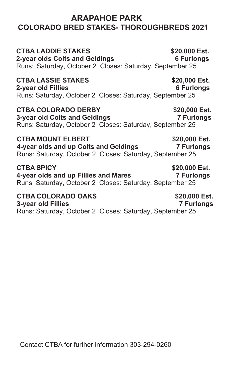### **COLORADO BRED STAKES- THOROUGHBREDS 2021 ARAPAHOE PARK**

### **CTBA LADDIE STAKES \$20,000 Est.**

**2-year olds Colts and Geldings 6 Furlongs** Runs: Saturday, October 2 Closes: Saturday, September 25

### **CTBA LASSIE STAKES \$20,000 Est.**

### **2-year old Fillies 6 Furlongs** Runs: Saturday, October 2 Closes: Saturday, September 25

**CTBA COLORADO DERBY \$20,000 Est. 3-year old Colts and Geldings 7 Furlongs** Runs: Saturday, October 2 Closes: Saturday, September 25

**CTBA MOUNT ELBERT \$20,000 Est. 4-year olds and up Colts and Geldings 7 Furlongs** Runs: Saturday, October 2 Closes: Saturday, September 25

**CTBA SPICY \$20,000 Est. 4-year olds and up Fillies and Mares 7 Furlongs** Runs: Saturday, October 2 Closes: Saturday, September 25

**CTBA COLORADO OAKS \$20,000 Est. 3-year old Fillies 7 Furlongs** Runs: Saturday, October 2 Closes: Saturday, September 25

Contact CTBA for further information 303-294-0260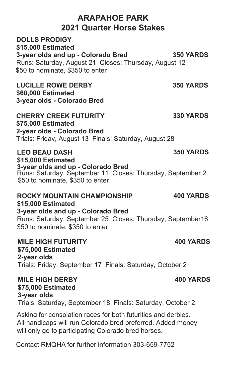### **ARAPAHOE PARK 2021 Quarter Horse Stakes**

**DOLLS PRODIGY \$15,000 Estimated 3-year olds and up - Colorado Bred 350 YARDS** Runs: Saturday, August 21 Closes: Thursday, August 12 \$50 to nominate, \$350 to enter

**LUCILLE ROWE DERBY \$60,000 Estimated 3-year olds - Colorado Bred**

**CHERRY CREEK FUTURITY \$75,000 Estimated 2-year olds - Colorado Bred**  Trials: Friday, August 13 Finals: Saturday, August 28

**LEO BEAU DASH \$15,000 Estimated 3-year olds and up - Colorado Bred** Runs: Saturday, September 11 Closes: Thursday, September 2 \$50 to nominate, \$350 to enter

#### **ROCKY MOUNTAIN CHAMPIONSHIP \$15,000 Estimated 3-year olds and up - Colorado Bred 400 YARDS** Runs: Saturday, September 25 Closes: Thursday, September16 \$50 to nominate, \$350 to enter

**MILE HIGH FUTURITY \$75,000 Estimated 2-year olds**  Trials: Friday, September 17 Finals: Saturday, October 2

**MILE HIGH DERBY \$75,000 Estimated 3-year olds**  Trials: Saturday, September 18 Finals: Saturday, October 2

Asking for consolation races for both futurities and derbies. All handicaps will run Colorado bred preferred. Added money will only go to participating Colorado bred horses.

Contact RMQHA for further information 303-659-7752

### **400 YARDS**

**350 YARDS**

**400 YARDS**

**330 YARDS**

**350 YARDS**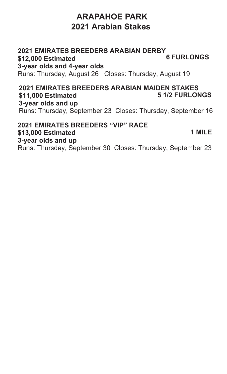### **ARAPAHOE PARK 2021 Arabian Stakes**

#### **2021 EMIRATES BREEDERS ARABIAN DERBY \$12,000 Estimated 3-year olds and 4-year olds 6 FURLONGS** Runs: Thursday, August 26 Closes: Thursday, August 19

#### **2021 EMIRATES BREEDERS ARABIAN MAIDEN STAKES \$11,000 Estimated 3-year olds and up 5 1/2 FURLONGS** Runs: Thursday, September 23 Closes: Thursday, September 16

#### **2021 EMIRATES BREEDERS "VIP" RACE \$13,000 Estimated 3-year olds and up 1 MILE** Runs: Thursday, September 30 Closes: Thursday, September 23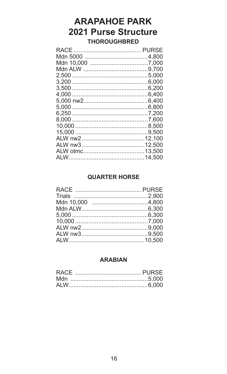### **ARAPAHOE PARK 2021 Purse Structure THOROUGHBRED**

### **QUARTER HORSE**

### **ARABIAN**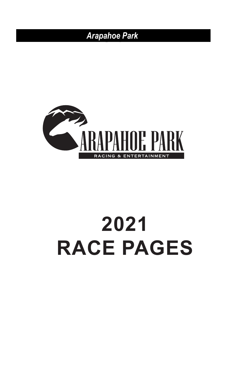

### **2021** *Thoroughbred Claiming*  $\mathsf{RACE}~\mathsf{PAGES}$ **FIVE AND ONE HALF FURLONGS** *Colorado Bred* **KAUE PAUES**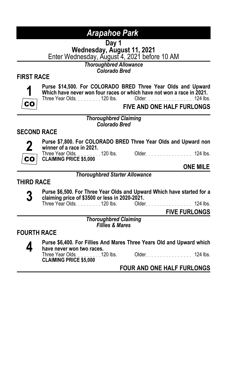**Day 1<br><b>Wednesday, August 11, 2021**<br>Enter Wednesday, August 4, 2021 before 10 AM

*Thoroughbred Allowance Colorado Bred*

### **FIRST RACE**



**Purse \$14,500. For COLORADO BRED Three Year Olds and Upward Which have never won four races or which have not won a race in 2021.**<br>Three Year Olds 120 lbs. Older 124 lbs Older 124 lbs.

**FIVE AND ONE HALF FURLONGS**

*Thoroughbred Claiming*

*Colorado Bred*

### **SECOND RACE**



**Purse \$7,800. For COLORADO BRED Three Year Olds and Upward non winner of a race in 2021.**

Older No. 124 lbs. **CLAIMING PRICE \$5,000**

**ONE MILE**

#### *Thoroughbred Starter Allowance*

### **THIRD RACE**

**3 Purse \$6,500. For Three Year Olds and Upward Which have started for a claiming price of \$3500 or less in 2020-2021.**

Older 1. . . . . . . . . . . . . . . . 124 lbs.

**FIVE FURLONGS**

*Thoroughbred Claiming Fillies & Mares*

### **FOURTH RACE**

**4 Purse \$6,400. For Fillies And Mares Three Years Old and Upward which<br>
<b>4 have never won two races.**<br>
Three Year Olds.........120 lbs. Older.....................124 lbs. **have never won two races.** Three Year Olds. . . . . . . . 120 lbs.

**CLAIMING PRICE \$5,000**

### **FOUR AND ONE HALF FURLONGS**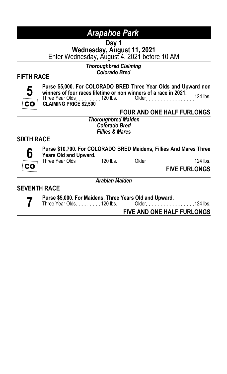**Day 1<br><b>Wednesday, August 11, 2021**<br>Enter Wednesday, August 4, 2021 before 10 AM

*Thoroughbred Claiming*

### *Colorado Bred* **FIFTH RACE**



**Purse \$5,000. For COLORADO BRED Three Year Olds and Upward non winners of four races lifetime or non winners of a race in 2021.** Three Year Olds 120 lbs. Older 124 lbs. **CLAIMING PRICE \$2,500**

**FOUR AND ONE HALF FURLONGS**

*Thoroughbred Maiden Colorado Bred Fillies & Mares*

### **SIXTH RACE**



**Purse \$10,700. For COLORADO BRED Maidens, Fillies And Mares Three Years Old and Upward.**

Three Year Olds. . . . . . . . 120 lbs. Older. . . . . . . . . . . . . . . . . 124 lbs.

**FIVE FURLONGS**

*Arabian Maiden*

#### **SEVENTH RACE**

**7 Purse \$5,000. For Maidens, Three Years Old and Upward.**

Three Year Olds. . . . . . . . 120 lbs. Older . . . . . . . . . . . . . . . . 124 lbs.

**FIVE AND ONE HALF FURLONGS**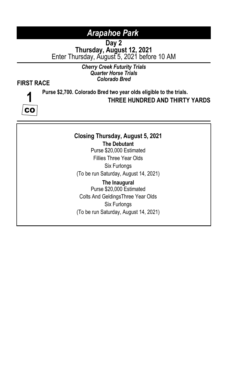**Day 2 Thursday, August 12, 2021** Enter Thursday, August 5, 2021 before 10 AM

### *Cherry Creek Futurity Trials Quarter Horse Trials*

### *Colorado Bred* **FIRST RACE**



### **Purse \$2,700. Colorado Bred two year olds eligible to the trials. THREE HUNDRED AND THIRTY YARDS**

## **Closing Thursday, August 5, 2021**

**The Debutant** Purse \$20,000 Estimated Fillies Three Year Olds Six Furlongs (To be run Saturday, August 14, 2021)

**The Inaugural** Purse \$20,000 Estimated Colts And GeldingsThree Year Olds Six Furlongs (To be run Saturday, August 14, 2021)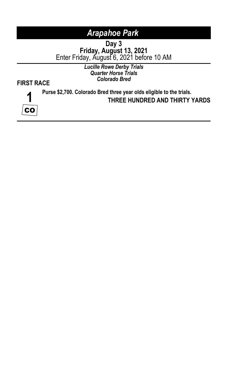**Day 3**<br>**Friday, August 13, 2021**<br>Enter Friday, August 6, 2021 before 10 AM

*Lucille Rowe Derby Trials Quarter Horse Trials Colorado Bred* **FIRST RACE**



### **Purse \$2,700. Colorado Bred three year olds eligible to the trials. THREE HUNDRED AND THIRTY YARDS**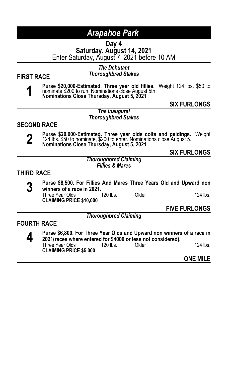**Day 4 Saturday, August 14, 2021** Enter Saturday, August 7, 2021 before 10 AM

### *The Debutant*

*Thoroughbred Stakes* **FIRST RACE**

**1 Purse \$20,000-Estimated. Three year old fillies.** Weight 124 lbs. \$50 to nominate \$200 to run. Nominations close August 5th.<br>Nominations Close Thursday, August 5, 2021

### **SIX FURLONGS**

#### *The Inaugural Thoroughbred Stakes*

### **SECOND RACE**



**2 Purse \$20,000-Estimated. Three year olds colts and geldings.** Weight 124 lbs. \$50 to nominate, \$200 to enter. Nominations close August 5.<br>Nominations Close Thursday, August 5, 2021

**SIX FURLONGS**

*Thoroughbred Claiming Fillies & Mares*

### **THIRD RACE**

**3 Purse \$8,500. For Fillies And Mares Three Years Old and Upward non<br>
<b>3 Winners of a race in 2021.**<br>
Three Year Olds. . . . . . . . . 120 lbs. Older. . . . . . . . . . . . . . . 124 lbs. **winners of a race in 2021.** Three Year Olds. . . . . . . . . 120 lbs. Older. . . . . . . . . . . . . . . . . 124 lbs.<br>**CLAIMING PRICE \$10,000** 

**FIVE FURLONGS**

*Thoroughbred Claiming*

### **FOURTH RACE**

**4 Purse \$6,800. For Three Year Olds and Upward non winners of a race in 2021(races where entered for \$4000 or less not considered).** Older 11.1.1.1.1.1.1.1.124 lbs. **CLAIMING PRICE \$5,000**

**ONE MILE**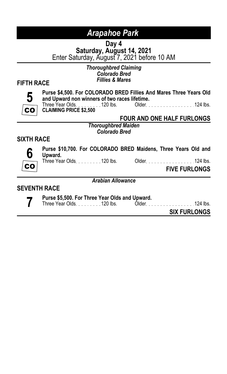**Day 4<br><b>Saturday, August 14, 2021**<br>Enter Saturday, August 7, 2021 before 10 AM

### *Thoroughbred Claiming Colorado Bred*

### *Fillies & Mares* **FIFTH RACE**



**Purse \$4,500. For COLORADO BRED Fillies And Mares Three Years Old and Upward non winners of two races lifetime.**

Three Year Olds. . . . . . . . . 120 lbs. Older. . . . . . . . . . . . . . . . . 124 lbs.<br>**CLAIMING PRICE \$2,500** 

### **FOUR AND ONE HALF FURLONGS**

*Thoroughbred Maiden Colorado Bred*

### **SIXTH RACE**



**Purse \$10,700. For COLORADO BRED Maidens, Three Years Old and Upward.**<br>Three Year Olds. . . . . . . . . 120 lbs.

Older No. 100 lbs. 124 lbs.

**FIVE FURLONGS**

*Arabian Allowance*

#### **SEVENTH RACE**

**7 Purse \$5,500. For Three Year Olds and Upward.** Three Year Olds 120 lbs. Older 124 lbs.

**SIX FURLONGS**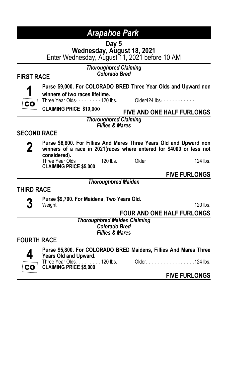**Day 5<br><b>Wednesday, August 18, 2021**<br>Enter Wednesday, August 11, 2021 before 10 AM

## *Thoroughbred Claiming*

### *Colorado Bred* **FIRST RACE**

**1** CO.

### **Purse \$9,000. For COLORADO BRED Three Year Olds and Upward non**

**winners of two races lifetime.**

Three Year Olds  $\cdots$  120 lbs. Older124 lbs.  $\cdots$ 

**CLAIMING PRICE \$10,000 FIVE AND ONE HALF FURLONGS**

*Thoroughbred Claiming Fillies & Mares*

### **SECOND RACE**



**2 Purse \$6,800. For Fillies And Mares Three Years Old and Upward non winners of a race in 2021(races where entered for \$4000 or less not considered).** Three Year Olds. . . . . . . . . 120 lbs. Older. . . . . . . . . . . . . . . . . 124 lbs.

**CLAIMING PRICE \$5,000**

**FIVE FURLONGS**

### **THIRD RACE**

**3 Purse \$9,700. For Maidens, Two Years Old.**

Weight 120 lbs.

**FOUR AND ONE HALF FURLONGS**

*Thoroughbred Maiden Claiming Colorado Bred Fillies & Mares*

*Thoroughbred Maiden*

### **FOURTH RACE**



**Purse \$5,800. For COLORADO BRED Maidens, Fillies And Mares Three Years Old and Upward.**

Three Year Olds. ........120 lbs. Older...................124 lbs.

**CLAIMING PRICE \$5,000**

**FIVE FURLONGS**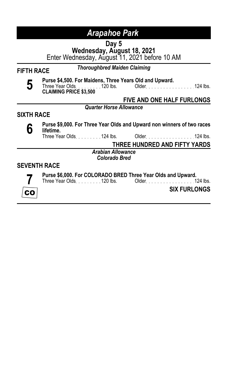**Day 5 Wednesday, August 18, 2021** Enter Wednesday, August 11, 2021 before 10 AM

*Thoroughbred Maiden Claiming* **FIFTH RACE**

**5 Purse \$4,500. For Maidens, Three Years Old and Upward.**<br>Three Year Olds. . . . . . . . . 120 lbs. Older. . . . . . . . . . . . . . . . . 124 lbs.<br>**CLAIMING PRICE \$3,500** 

### **FIVE AND ONE HALF FURLONGS**

#### *Quarter Horse Allowance*

### **SIXTH RACE**



**6 Purse \$9,000. For Three Year Olds and Upward non winners of two races lifetime.**

Older No. 100 . 100 . 124 lbs.

**THREE HUNDRED AND FIFTY YARDS**

*Arabian Allowance Colorado Bred*

### **SEVENTH RACE**



**Purse \$6,000. For COLORADO BRED Three Year Olds and Upward.** Three Year Olds. . . . . . . . 120 lbs.

**SIX FURLONGS**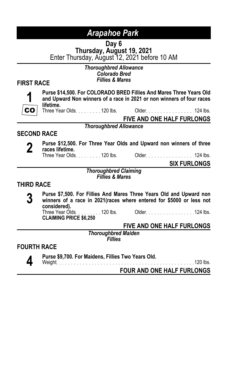**Day 6<br><b>Thursday, August 19, 2021**<br>Enter Thursday, August 12, 2021 before 10 AM

*Thoroughbred Allowance Colorado Bred*

### *Fillies & Mares* **FIRST RACE**

**Purse \$14,500. For COLORADO BRED Fillies And Mares Three Years Old and Upward Non winners of a race in 2021 or non winners of four races lifetime.**

Three Year Olds 120 lbs. Older 124 lbs.

**FIVE AND ONE HALF FURLONGS**

*Thoroughbred Allowance*

### **SECOND RACE**



**2 Purse \$12,500. For Three Year Olds and Upward non winners of three races lifetime.<br>Three Year Olds. . . . . . . . . 120 lbs. Older. . . . . . . . . . . . . . . . 124 lbs. races lifetime.**

Three Year Olds 120 lbs. Older 124 lbs.

**SIX FURLONGS**

*Thoroughbred Claiming Fillies & Mares*

### **THIRD RACE**

**3 Purse \$7,500. For Fillies And Mares Three Years Old and Upward non winners of a race in 2021(races where entered for \$5000 or less not considered).** Three Year Olds 2000. 120 lbs. Older 2000. 124 lbs.

**CLAIMING PRICE \$6,250**

**FIVE AND ONE HALF FURLONGS**

*Thoroughbred Maiden Fillies*

### **FOURTH RACE**

**4 Purse \$9,700. For Maidens, Fillies Two Years Old.**

Weight 120 lbs.

**FOUR AND ONE HALF FURLONGS**

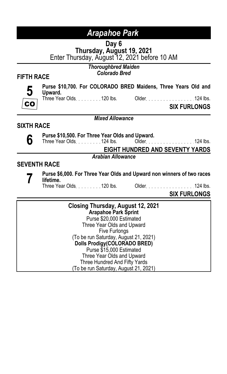**Day 6<br><b>Thursday, August 19, 2021**<br>Enter Thursday, August 12, 2021 before 10 AM

## *Thoroughbred Maiden*

### *Colorado Bred* **FIFTH RACE**



**Purse \$10,700. For COLORADO BRED Maidens, Three Years Old and Upward.**

Three Year Olds. . . . . . . . . 120 lbs. Older . . . . . . . . . . . . . . . . 124 lbs.

**SIX FURLONGS**

#### *Mixed Allowance*

**SIXTH RACE**

**6 Purse \$10,500. For Three Year Olds and Upward.**<br>**6 C** Three Year Olds. . . . . . . . . 124 lbs. 0lder. . . .

Older 124 lbs.

**EIGHT HUNDRED AND SEVENTY YARDS**

*Arabian Allowance*

### **SEVENTH RACE**



**7 Purse \$6,000. For Three Year Olds and Upward non winners of two races<br>
Three Year Olds 120 lbs. Older 124 lbs. 124 lbs. lifetime.**

Older New York 124 lbs.

**SIX FURLONGS**

**Closing Thursday, August 12, 2021 Arapahoe Park Sprint** Purse \$20,000 Estimated Three Year Olds and Upward Five Furlongs (To be run Saturday, August 21, 2021) **Dolls Prodigy(COLORADO BRED)** Purse \$15,000 Estimated Three Year Olds and Upward Three Hundred And Fifty Yards (To be run Saturday, August 21, 2021)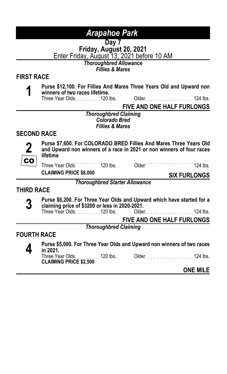**Day 7 Friday, August 20, 2021** Enter Friday, August 13, 2021 before 10 AM

*Thoroughbred Allowance*

*Fillies & Mares*

### **FIRST RACE**

- 
- **1 Purse \$12,100. For Fillies And Mares Three Years Old and Upward non winners of two races lifetime.**
	- Three Year Olds. . . . . . . . 120 lbs.

**FIVE AND ONE HALF FURLONGS**

*Thoroughbred Claiming Colorado Bred Fillies & Mares*

### **SECOND RACE**



**Purse \$7,600. For COLORADO BRED Fillies And Mares Three Years Old and Upward non winners of a race in 2021 or non winners of four races lifetime**

**CLAIMING PRICE \$8,000 SIX FURLONGS**

Three Year Olds<sup>120</sup> 120 lbs. Older 120 lbs. 2124 lbs.

*Thoroughbred Starter Allowance*

### **THIRD RACE**

- **3 Purse \$6,200. For Three Year Olds and Upward which have started for a claiming price of \$3200 or less in 2020-2021.**
	- Older No. 124 lbs.

**FIVE AND ONE HALF FURLONGS**

*Thoroughbred Claiming*

### **FOURTH RACE**



**4 Purse \$5,000. For Three Year Olds and Upward non winners of two races<br>
Three Year Olds. . . . . . . . . 120 lbs. Older. . . . . . . . . . . . . . . . 124 lbs. in 2021.**

Three Year Olds. . . . . . . . . 120 lbs. Older. . . . . . . . . . . . . . . . . 124 lbs.<br>**CLAIMING PRICE \$2,500** 

#### **ONE MILE**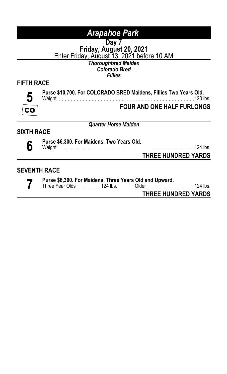**Day 7 Friday, August 20, 2021** Enter Friday, August 13, 2021 before 10 AM

*Thoroughbred Maiden Colorado Bred Fillies*

### **FIFTH RACE**

**5 CO** 

#### **Purse \$10,700. For COLORADO BRED Maidens, Fillies Two Years Old.** Weight 120 lbs.

**FOUR AND ONE HALF FURLONGS**

*Quarter Horse Maiden*

### **SIXTH RACE**

**6 Purse \$6,300. For Maidens, Two Years Old.** Weight 124 lbs.

**THREE HUNDRED YARDS**

### **SEVENTH RACE**

**7 Purse \$6,300. For Maidens, Three Years Old and Upward.** Older 11. . . . . . . . . . . . . . . 124 lbs.

**THREE HUNDRED YARDS**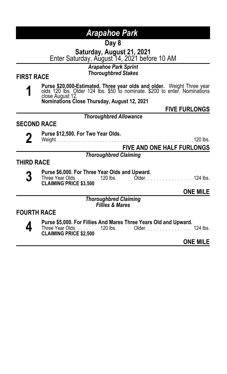**Day 8**

**Saturday, August 21, 2021**

Enter Saturday, August 14, 2021 before 10 AM

### *Arapahoe Park Sprint*

*Thoroughbred Stakes* **FIRST RACE**

**1 Purse \$20,000-Estimated. Three year olds and older.** Weight Three year olds 120 lbs. Older 124 lbs. \$50 to nominate. \$200 to enter. Nominations close August 12.

**Nominations Close Thursday, August 12, 2021**

**FIVE FURLONGS**

*Thoroughbred Allowance*

### **SECOND RACE**

**2 Purse \$12,500. For Two Year Olds.**<br> **2 Weight 120 lbs. Purse 2008 2019 12:00 PM 2008 2019 12:00 PM 2008 2019 12:00 PM 2008 2019 12:00 PM 2008 2019** 

**FIVE AND ONE HALF FURLONGS**

*Thoroughbred Claiming*

### **THIRD RACE**

- 
- **3 Purse \$6,000. For Three Year Olds and Upward.**<br>Three Year Olds. . . . . . . . . 120 lbs. Older . . . . . . . . . . . . . . . . . 124 lbs.<br>**CLAIMING PRICE \$3,500**

**ONE MILE**

*Thoroughbred Claiming Fillies & Mares*

### **FOURTH RACE**

**4 Purse \$5,000. For Fillies And Mares Three Years Old and Upward.**<br>Three Year Olds 120 lbs. Older 124 lbs. CLAIMING PRICE \$2,500. **CLAIMING PRICE \$2,500**

**ONE MILE**